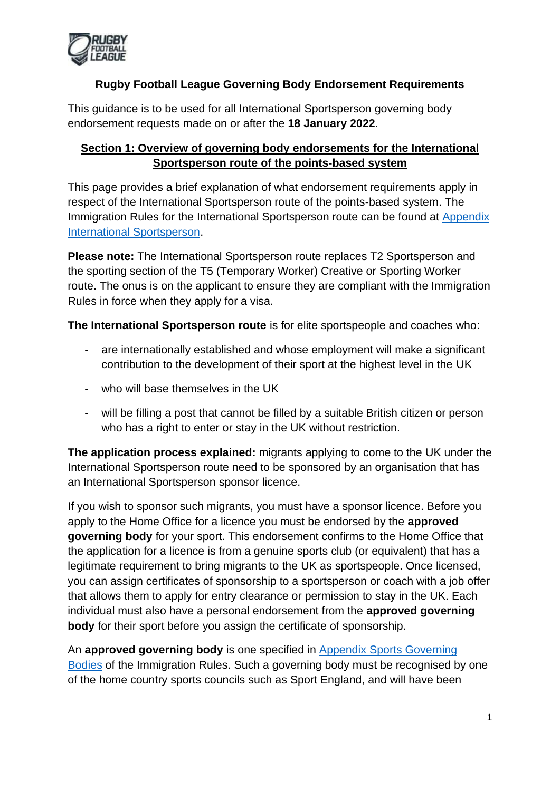

This guidance is to be used for all International Sportsperson governing body endorsement requests made on or after the **18 January 2022**.

# **Section 1: Overview of governing body endorsements for the International Sportsperson route of the points-based system**

This page provides a brief explanation of what endorsement requirements apply in respect of the International Sportsperson route of the points-based system. The Immigration Rules for the International Sportsperson route can be found at [Appendix](https://www.gov.uk/guidance/immigration-rules/immigration-rules-appendix-international-sportsperson)  [International Sportsperson.](https://www.gov.uk/guidance/immigration-rules/immigration-rules-appendix-international-sportsperson)

**Please note:** The International Sportsperson route replaces T2 Sportsperson and the sporting section of the T5 (Temporary Worker) Creative or Sporting Worker route. The onus is on the applicant to ensure they are compliant with the Immigration Rules in force when they apply for a visa.

**The International Sportsperson route** is for elite sportspeople and coaches who:

- are internationally established and whose employment will make a significant contribution to the development of their sport at the highest level in the UK
- who will base themselves in the UK
- will be filling a post that cannot be filled by a suitable British citizen or person who has a right to enter or stay in the UK without restriction.

**The application process explained:** migrants applying to come to the UK under the International Sportsperson route need to be sponsored by an organisation that has an International Sportsperson sponsor licence.

If you wish to sponsor such migrants, you must have a sponsor licence. Before you apply to the Home Office for a licence you must be endorsed by the **approved governing body** for your sport. This endorsement confirms to the Home Office that the application for a licence is from a genuine sports club (or equivalent) that has a legitimate requirement to bring migrants to the UK as sportspeople. Once licensed, you can assign certificates of sponsorship to a sportsperson or coach with a job offer that allows them to apply for entry clearance or permission to stay in the UK. Each individual must also have a personal endorsement from the **approved governing body** for their sport before you assign the certificate of sponsorship.

An **approved governing body** is one specified in [Appendix Sports Governing](https://www.gov.uk/guidance/immigration-rules/immigration-rules-appendix-sports-governing-bodies)  [Bodies](https://www.gov.uk/guidance/immigration-rules/immigration-rules-appendix-sports-governing-bodies) of the Immigration Rules. Such a governing body must be recognised by one of the home country sports councils such as Sport England, and will have been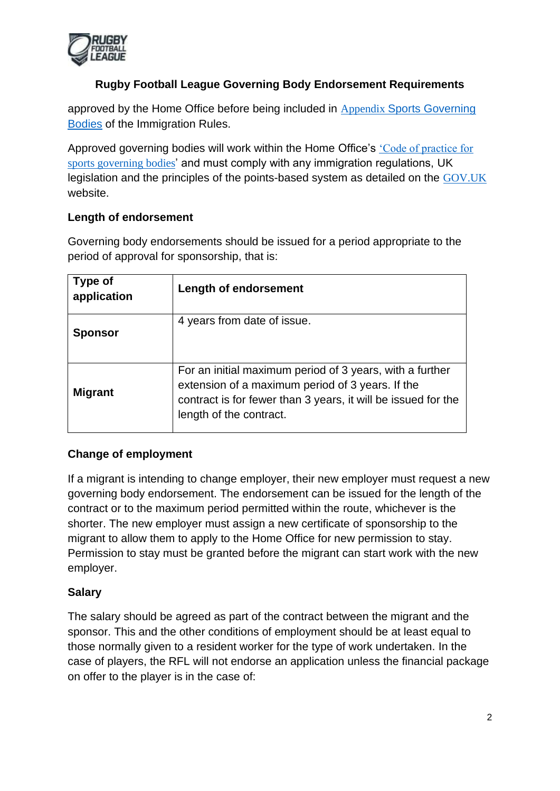

approved by the Home Office before being included in Appendix [Sports Governing](https://www.gov.uk/guidance/immigration-rules/immigration-rules-appendix-sports-governing-bodies)  [Bodies](https://www.gov.uk/guidance/immigration-rules/immigration-rules-appendix-sports-governing-bodies) of the Immigration Rules.

Approved governing bodies will work within the Home Office's ['Code of practice for](https://www.gov.uk/government/uploads/system/uploads/attachment_data/file/257342/sportingcodeofpractice.pdf)  [sports governing bodies](https://www.gov.uk/government/uploads/system/uploads/attachment_data/file/257342/sportingcodeofpractice.pdf)' and must comply with any immigration regulations, UK legislation and the principles of the points-based system as detailed on the [GOV.UK](https://www.gov.uk/browse/visas-immigration/work-visas) website.

### **Length of endorsement**

Governing body endorsements should be issued for a period appropriate to the period of approval for sponsorship, that is:

| Type of<br>application | <b>Length of endorsement</b>                                                                                                                                                                             |
|------------------------|----------------------------------------------------------------------------------------------------------------------------------------------------------------------------------------------------------|
| <b>Sponsor</b>         | 4 years from date of issue.                                                                                                                                                                              |
| <b>Migrant</b>         | For an initial maximum period of 3 years, with a further<br>extension of a maximum period of 3 years. If the<br>contract is for fewer than 3 years, it will be issued for the<br>length of the contract. |

### **Change of employment**

If a migrant is intending to change employer, their new employer must request a new governing body endorsement. The endorsement can be issued for the length of the contract or to the maximum period permitted within the route, whichever is the shorter. The new employer must assign a new certificate of sponsorship to the migrant to allow them to apply to the Home Office for new permission to stay. Permission to stay must be granted before the migrant can start work with the new employer.

### **Salary**

The salary should be agreed as part of the contract between the migrant and the sponsor. This and the other conditions of employment should be at least equal to those normally given to a resident worker for the type of work undertaken. In the case of players, the RFL will not endorse an application unless the financial package on offer to the player is in the case of: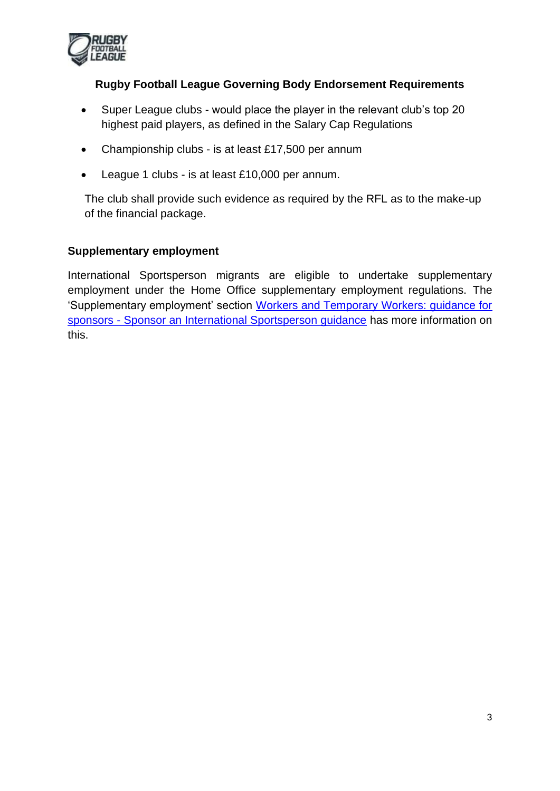

- Super League clubs would place the player in the relevant club's top 20 highest paid players, as defined in the Salary Cap Regulations
- Championship clubs is at least £17,500 per annum
- League 1 clubs is at least £10,000 per annum.

The club shall provide such evidence as required by the RFL as to the make-up of the financial package.

### **Supplementary employment**

International Sportsperson migrants are eligible to undertake supplementary employment under the Home Office supplementary employment regulations. The 'Supplementary employment' section [Workers and Temporary Workers: guidance for](https://www.gov.uk/government/publications/workers-and-temporary-workers-guidance-for-sponsors-sponsor-a-sportsperson-or-sporting-worker)  sponsors - [Sponsor an International Sportsperson guidance](https://www.gov.uk/government/publications/workers-and-temporary-workers-guidance-for-sponsors-sponsor-a-sportsperson-or-sporting-worker) has more information on this.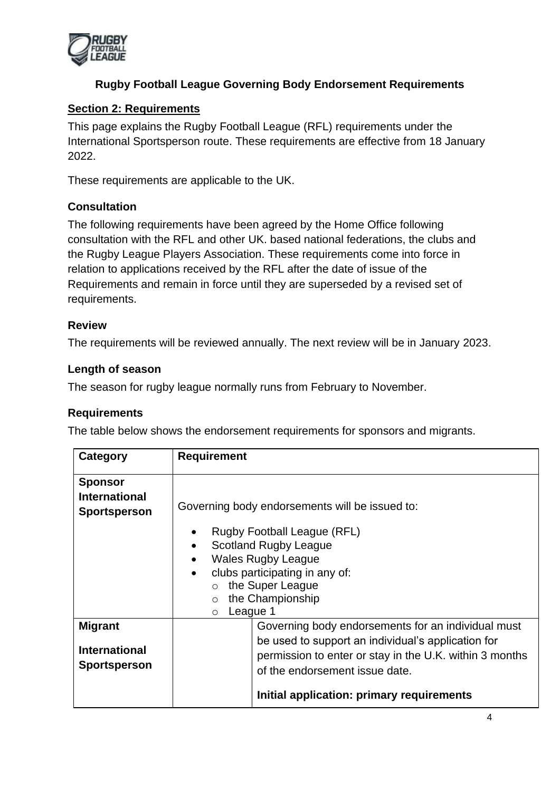

### **Section 2: Requirements**

This page explains the Rugby Football League (RFL) requirements under the International Sportsperson route. These requirements are effective from 18 January 2022.

These requirements are applicable to the UK.

### **Consultation**

The following requirements have been agreed by the Home Office following consultation with the RFL and other UK. based national federations, the clubs and the Rugby League Players Association. These requirements come into force in relation to applications received by the RFL after the date of issue of the Requirements and remain in force until they are superseded by a revised set of requirements.

#### **Review**

The requirements will be reviewed annually. The next review will be in January 2023.

#### **Length of season**

The season for rugby league normally runs from February to November.

#### **Requirements**

The table below shows the endorsement requirements for sponsors and migrants.

| Category                                                      | <b>Requirement</b>                                                                                                                                                                                                                                 |
|---------------------------------------------------------------|----------------------------------------------------------------------------------------------------------------------------------------------------------------------------------------------------------------------------------------------------|
| <b>Sponsor</b><br><b>International</b><br><b>Sportsperson</b> | Governing body endorsements will be issued to:                                                                                                                                                                                                     |
|                                                               | Rugby Football League (RFL)<br>$\bullet$<br><b>Scotland Rugby League</b><br>$\bullet$<br><b>Wales Rugby League</b><br>$\bullet$<br>clubs participating in any of:<br>$\bullet$<br>the Super League<br>the Championship<br>League 1<br>$\circ$      |
| <b>Migrant</b><br><b>International</b><br><b>Sportsperson</b> | Governing body endorsements for an individual must<br>be used to support an individual's application for<br>permission to enter or stay in the U.K. within 3 months<br>of the endorsement issue date.<br>Initial application: primary requirements |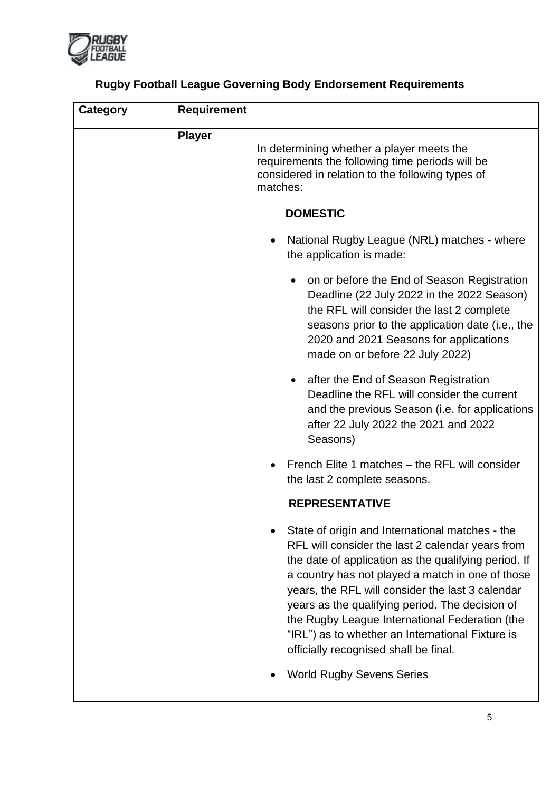

| <b>Rugby Football League Governing Body Endorsement Requirements</b> |  |  |
|----------------------------------------------------------------------|--|--|
|                                                                      |  |  |

| <b>Category</b> | <b>Requirement</b> |                                                                                                                                                                                                                                                                                                                                                                                                                                                                       |
|-----------------|--------------------|-----------------------------------------------------------------------------------------------------------------------------------------------------------------------------------------------------------------------------------------------------------------------------------------------------------------------------------------------------------------------------------------------------------------------------------------------------------------------|
|                 | <b>Player</b>      | In determining whether a player meets the<br>requirements the following time periods will be<br>considered in relation to the following types of<br>matches:                                                                                                                                                                                                                                                                                                          |
|                 |                    | <b>DOMESTIC</b>                                                                                                                                                                                                                                                                                                                                                                                                                                                       |
|                 |                    | National Rugby League (NRL) matches - where<br>the application is made:                                                                                                                                                                                                                                                                                                                                                                                               |
|                 |                    | on or before the End of Season Registration<br>Deadline (22 July 2022 in the 2022 Season)<br>the RFL will consider the last 2 complete<br>seasons prior to the application date (i.e., the<br>2020 and 2021 Seasons for applications<br>made on or before 22 July 2022)                                                                                                                                                                                               |
|                 |                    | after the End of Season Registration<br>$\bullet$<br>Deadline the RFL will consider the current<br>and the previous Season ( <i>i.e.</i> for applications<br>after 22 July 2022 the 2021 and 2022<br>Seasons)                                                                                                                                                                                                                                                         |
|                 |                    | French Elite 1 matches – the RFL will consider<br>the last 2 complete seasons.                                                                                                                                                                                                                                                                                                                                                                                        |
|                 |                    | <b>REPRESENTATIVE</b>                                                                                                                                                                                                                                                                                                                                                                                                                                                 |
|                 |                    | State of origin and International matches - the<br>RFL will consider the last 2 calendar years from<br>the date of application as the qualifying period. If<br>a country has not played a match in one of those<br>years, the RFL will consider the last 3 calendar<br>years as the qualifying period. The decision of<br>the Rugby League International Federation (the<br>"IRL") as to whether an International Fixture is<br>officially recognised shall be final. |
|                 |                    | <b>World Rugby Sevens Series</b>                                                                                                                                                                                                                                                                                                                                                                                                                                      |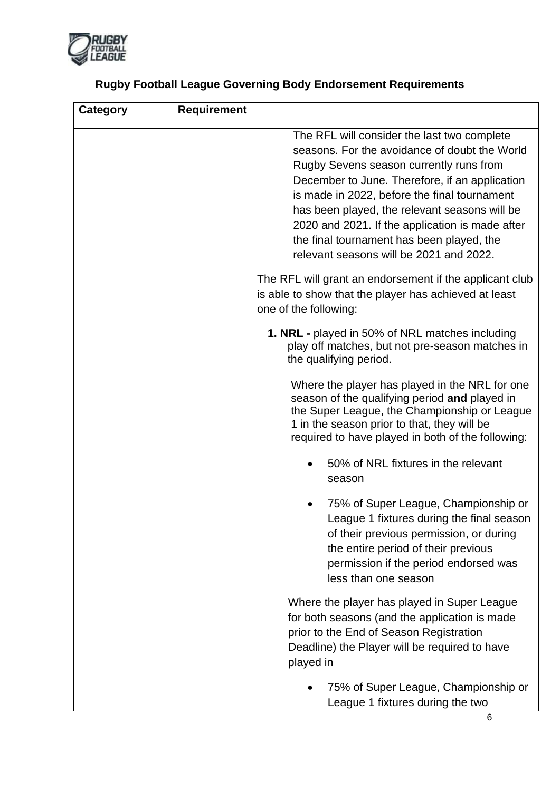

| Category | <b>Requirement</b>                                                                                                                                                                                                                                                                                                                                                                                                                    |
|----------|---------------------------------------------------------------------------------------------------------------------------------------------------------------------------------------------------------------------------------------------------------------------------------------------------------------------------------------------------------------------------------------------------------------------------------------|
|          | The RFL will consider the last two complete<br>seasons. For the avoidance of doubt the World<br>Rugby Sevens season currently runs from<br>December to June. Therefore, if an application<br>is made in 2022, before the final tournament<br>has been played, the relevant seasons will be<br>2020 and 2021. If the application is made after<br>the final tournament has been played, the<br>relevant seasons will be 2021 and 2022. |
|          | The RFL will grant an endorsement if the applicant club<br>is able to show that the player has achieved at least<br>one of the following:                                                                                                                                                                                                                                                                                             |
|          | 1. NRL - played in 50% of NRL matches including<br>play off matches, but not pre-season matches in<br>the qualifying period.                                                                                                                                                                                                                                                                                                          |
|          | Where the player has played in the NRL for one<br>season of the qualifying period and played in<br>the Super League, the Championship or League<br>1 in the season prior to that, they will be<br>required to have played in both of the following:                                                                                                                                                                                   |
|          | 50% of NRL fixtures in the relevant<br>season                                                                                                                                                                                                                                                                                                                                                                                         |
|          | 75% of Super League, Championship or<br>League 1 fixtures during the final season<br>of their previous permission, or during<br>the entire period of their previous<br>permission if the period endorsed was<br>less than one season                                                                                                                                                                                                  |
|          | Where the player has played in Super League<br>for both seasons (and the application is made<br>prior to the End of Season Registration<br>Deadline) the Player will be required to have<br>played in                                                                                                                                                                                                                                 |
|          | 75% of Super League, Championship or<br>League 1 fixtures during the two                                                                                                                                                                                                                                                                                                                                                              |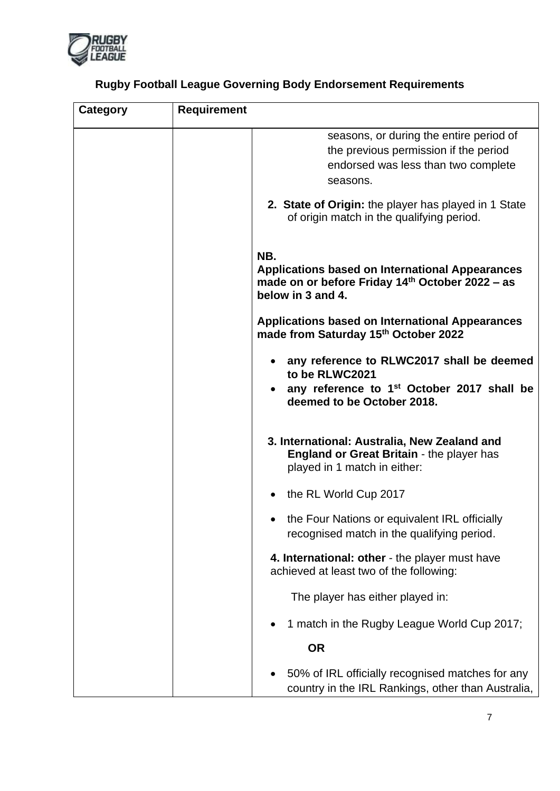

| <b>Rugby Football League Governing Body Endorsement Requirements</b> |
|----------------------------------------------------------------------|
|----------------------------------------------------------------------|

| Category | <b>Requirement</b>                                                                                                                                                                                                                       |
|----------|------------------------------------------------------------------------------------------------------------------------------------------------------------------------------------------------------------------------------------------|
|          | seasons, or during the entire period of<br>the previous permission if the period<br>endorsed was less than two complete<br>seasons.<br>2. State of Origin: the player has played in 1 State<br>of origin match in the qualifying period. |
|          | NB.<br><b>Applications based on International Appearances</b><br>made on or before Friday 14th October 2022 - as<br>below in 3 and 4.                                                                                                    |
|          | <b>Applications based on International Appearances</b><br>made from Saturday 15th October 2022                                                                                                                                           |
|          | any reference to RLWC2017 shall be deemed<br>to be RLWC2021<br>any reference to 1 <sup>st</sup> October 2017 shall be<br>deemed to be October 2018.                                                                                      |
|          | 3. International: Australia, New Zealand and<br><b>England or Great Britain - the player has</b><br>played in 1 match in either:                                                                                                         |
|          | the RL World Cup 2017                                                                                                                                                                                                                    |
|          | the Four Nations or equivalent IRL officially<br>recognised match in the qualifying period.                                                                                                                                              |
|          | 4. International: other - the player must have<br>achieved at least two of the following:                                                                                                                                                |
|          | The player has either played in:                                                                                                                                                                                                         |
|          | 1 match in the Rugby League World Cup 2017;                                                                                                                                                                                              |
|          | <b>OR</b>                                                                                                                                                                                                                                |
|          | 50% of IRL officially recognised matches for any<br>country in the IRL Rankings, other than Australia,                                                                                                                                   |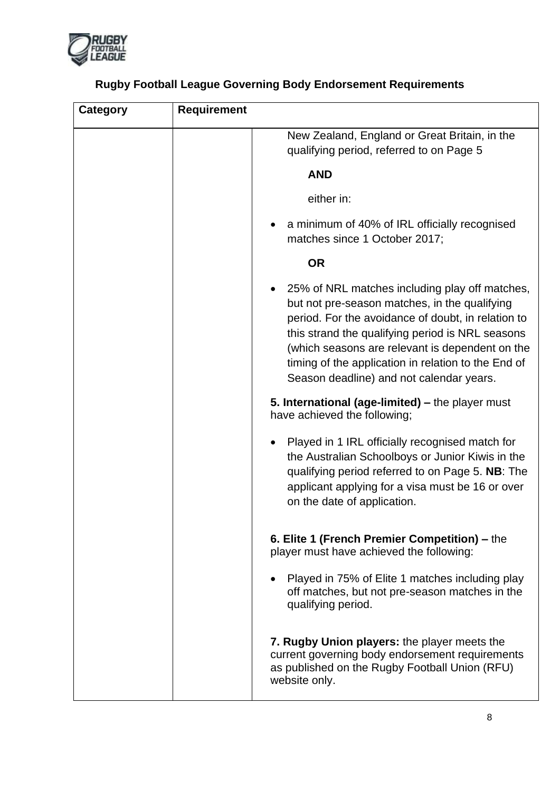

| <b>Category</b> | <b>Requirement</b> |                                                                                                                                                                                                                                                                                                                                                                 |
|-----------------|--------------------|-----------------------------------------------------------------------------------------------------------------------------------------------------------------------------------------------------------------------------------------------------------------------------------------------------------------------------------------------------------------|
|                 |                    | New Zealand, England or Great Britain, in the<br>qualifying period, referred to on Page 5                                                                                                                                                                                                                                                                       |
|                 |                    | <b>AND</b>                                                                                                                                                                                                                                                                                                                                                      |
|                 |                    | either in:                                                                                                                                                                                                                                                                                                                                                      |
|                 |                    | a minimum of 40% of IRL officially recognised<br>matches since 1 October 2017;                                                                                                                                                                                                                                                                                  |
|                 |                    | <b>OR</b>                                                                                                                                                                                                                                                                                                                                                       |
|                 |                    | 25% of NRL matches including play off matches,<br>but not pre-season matches, in the qualifying<br>period. For the avoidance of doubt, in relation to<br>this strand the qualifying period is NRL seasons<br>(which seasons are relevant is dependent on the<br>timing of the application in relation to the End of<br>Season deadline) and not calendar years. |
|                 |                    | 5. International (age-limited) - the player must<br>have achieved the following;                                                                                                                                                                                                                                                                                |
|                 |                    | Played in 1 IRL officially recognised match for<br>the Australian Schoolboys or Junior Kiwis in the<br>qualifying period referred to on Page 5. NB: The<br>applicant applying for a visa must be 16 or over<br>on the date of application.                                                                                                                      |
|                 |                    | 6. Elite 1 (French Premier Competition) – the<br>player must have achieved the following:                                                                                                                                                                                                                                                                       |
|                 |                    | Played in 75% of Elite 1 matches including play<br>off matches, but not pre-season matches in the<br>qualifying period.                                                                                                                                                                                                                                         |
|                 |                    | 7. Rugby Union players: the player meets the<br>current governing body endorsement requirements<br>as published on the Rugby Football Union (RFU)<br>website only.                                                                                                                                                                                              |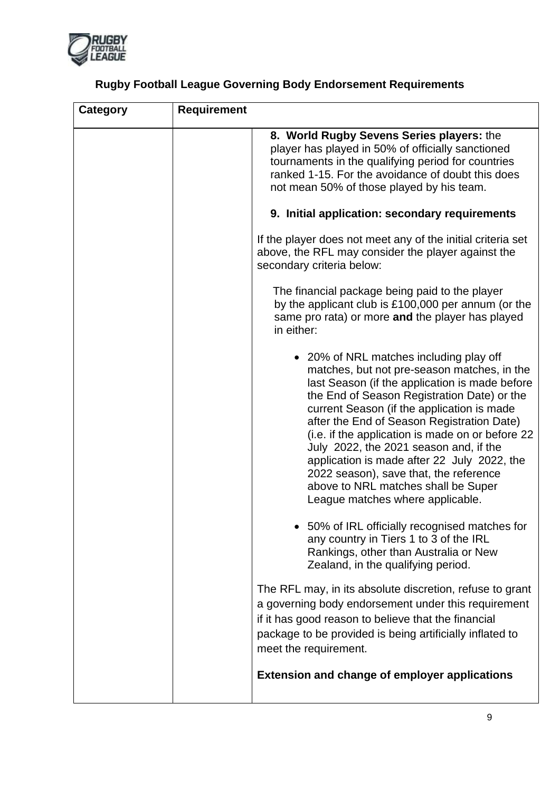

|  |  |  | <b>Rugby Football League Governing Body Endorsement Requirements</b> |
|--|--|--|----------------------------------------------------------------------|

| <b>Category</b> | <b>Requirement</b> |                                                                                                                                                                                                                                                                                                                                                                                                                                                                                                                                                       |
|-----------------|--------------------|-------------------------------------------------------------------------------------------------------------------------------------------------------------------------------------------------------------------------------------------------------------------------------------------------------------------------------------------------------------------------------------------------------------------------------------------------------------------------------------------------------------------------------------------------------|
|                 |                    | 8. World Rugby Sevens Series players: the<br>player has played in 50% of officially sanctioned<br>tournaments in the qualifying period for countries<br>ranked 1-15. For the avoidance of doubt this does<br>not mean 50% of those played by his team.                                                                                                                                                                                                                                                                                                |
|                 |                    | 9. Initial application: secondary requirements                                                                                                                                                                                                                                                                                                                                                                                                                                                                                                        |
|                 |                    | If the player does not meet any of the initial criteria set<br>above, the RFL may consider the player against the<br>secondary criteria below:                                                                                                                                                                                                                                                                                                                                                                                                        |
|                 |                    | The financial package being paid to the player<br>by the applicant club is £100,000 per annum (or the<br>same pro rata) or more and the player has played<br>in either:                                                                                                                                                                                                                                                                                                                                                                               |
|                 |                    | • 20% of NRL matches including play off<br>matches, but not pre-season matches, in the<br>last Season (if the application is made before<br>the End of Season Registration Date) or the<br>current Season (if the application is made<br>after the End of Season Registration Date)<br>(i.e. if the application is made on or before 22<br>July 2022, the 2021 season and, if the<br>application is made after 22 July 2022, the<br>2022 season), save that, the reference<br>above to NRL matches shall be Super<br>League matches where applicable. |
|                 |                    | 50% of IRL officially recognised matches for<br>any country in Tiers 1 to 3 of the IRL<br>Rankings, other than Australia or New<br>Zealand, in the qualifying period.                                                                                                                                                                                                                                                                                                                                                                                 |
|                 |                    | The RFL may, in its absolute discretion, refuse to grant<br>a governing body endorsement under this requirement<br>if it has good reason to believe that the financial<br>package to be provided is being artificially inflated to<br>meet the requirement.                                                                                                                                                                                                                                                                                           |
|                 |                    | <b>Extension and change of employer applications</b>                                                                                                                                                                                                                                                                                                                                                                                                                                                                                                  |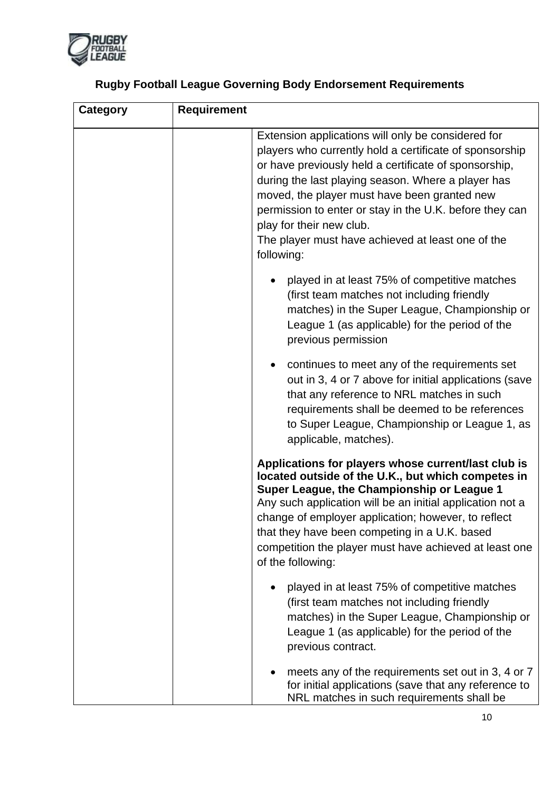

| <b>Rugby Football League Governing Body Endorsement Requirements</b> |  |  |
|----------------------------------------------------------------------|--|--|

| Category | <b>Requirement</b>                                                                                                                                                                                                                                                                                                                                                                                                                     |  |
|----------|----------------------------------------------------------------------------------------------------------------------------------------------------------------------------------------------------------------------------------------------------------------------------------------------------------------------------------------------------------------------------------------------------------------------------------------|--|
|          | Extension applications will only be considered for<br>players who currently hold a certificate of sponsorship<br>or have previously held a certificate of sponsorship,<br>during the last playing season. Where a player has<br>moved, the player must have been granted new<br>permission to enter or stay in the U.K. before they can<br>play for their new club.<br>The player must have achieved at least one of the<br>following: |  |
|          | played in at least 75% of competitive matches<br>(first team matches not including friendly<br>matches) in the Super League, Championship or<br>League 1 (as applicable) for the period of the<br>previous permission                                                                                                                                                                                                                  |  |
|          | continues to meet any of the requirements set<br>out in 3, 4 or 7 above for initial applications (save<br>that any reference to NRL matches in such<br>requirements shall be deemed to be references<br>to Super League, Championship or League 1, as<br>applicable, matches).                                                                                                                                                         |  |
|          | Applications for players whose current/last club is<br>located outside of the U.K., but which competes in<br>Super League, the Championship or League 1<br>Any such application will be an initial application not a<br>change of employer application; however, to reflect<br>that they have been competing in a U.K. based<br>competition the player must have achieved at least one<br>of the following:                            |  |
|          | played in at least 75% of competitive matches<br>(first team matches not including friendly<br>matches) in the Super League, Championship or<br>League 1 (as applicable) for the period of the<br>previous contract.                                                                                                                                                                                                                   |  |
|          | meets any of the requirements set out in 3, 4 or 7<br>for initial applications (save that any reference to<br>NRL matches in such requirements shall be                                                                                                                                                                                                                                                                                |  |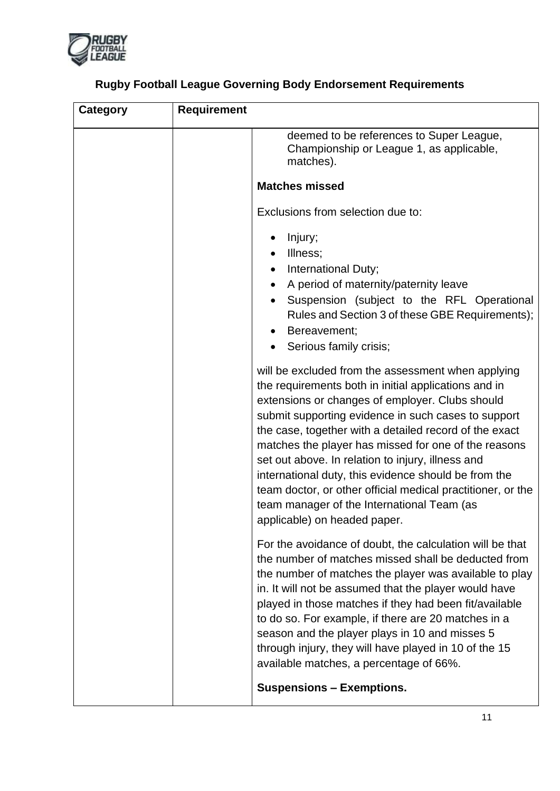

| <b>Category</b> | <b>Requirement</b> |                                                                                                                                                                                                                                                                                                                                                                                                                                                                                                                                                                                                  |
|-----------------|--------------------|--------------------------------------------------------------------------------------------------------------------------------------------------------------------------------------------------------------------------------------------------------------------------------------------------------------------------------------------------------------------------------------------------------------------------------------------------------------------------------------------------------------------------------------------------------------------------------------------------|
|                 |                    | deemed to be references to Super League,<br>Championship or League 1, as applicable,<br>matches).                                                                                                                                                                                                                                                                                                                                                                                                                                                                                                |
|                 |                    | <b>Matches missed</b>                                                                                                                                                                                                                                                                                                                                                                                                                                                                                                                                                                            |
|                 |                    | Exclusions from selection due to:                                                                                                                                                                                                                                                                                                                                                                                                                                                                                                                                                                |
|                 |                    | Injury;<br>Illness;<br>International Duty;<br>A period of maternity/paternity leave<br>٠<br>Suspension (subject to the RFL Operational<br>$\bullet$<br>Rules and Section 3 of these GBE Requirements);<br>Bereavement:<br>Serious family crisis;                                                                                                                                                                                                                                                                                                                                                 |
|                 |                    | will be excluded from the assessment when applying<br>the requirements both in initial applications and in<br>extensions or changes of employer. Clubs should<br>submit supporting evidence in such cases to support<br>the case, together with a detailed record of the exact<br>matches the player has missed for one of the reasons<br>set out above. In relation to injury, illness and<br>international duty, this evidence should be from the<br>team doctor, or other official medical practitioner, or the<br>team manager of the International Team (as<br>applicable) on headed paper. |
|                 |                    | For the avoidance of doubt, the calculation will be that<br>the number of matches missed shall be deducted from<br>the number of matches the player was available to play<br>in. It will not be assumed that the player would have<br>played in those matches if they had been fit/available<br>to do so. For example, if there are 20 matches in a<br>season and the player plays in 10 and misses 5<br>through injury, they will have played in 10 of the 15<br>available matches, a percentage of 66%.                                                                                        |
|                 |                    | <b>Suspensions - Exemptions.</b>                                                                                                                                                                                                                                                                                                                                                                                                                                                                                                                                                                 |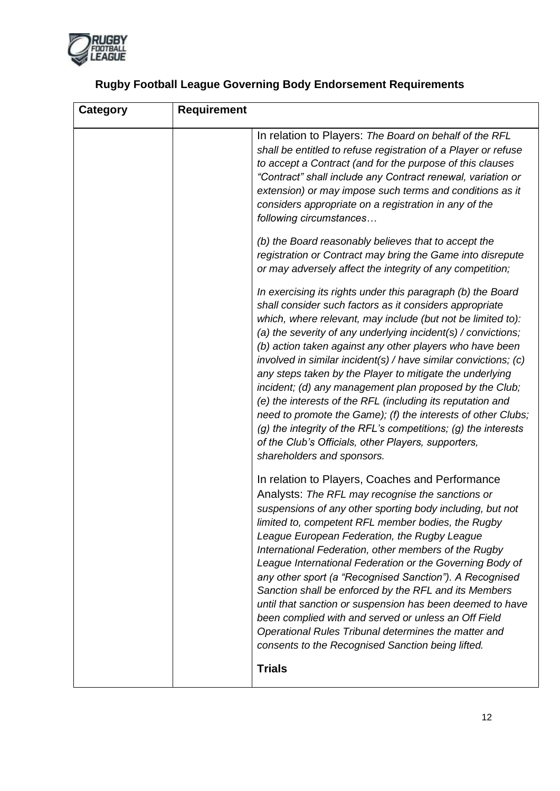

| <b>Category</b> | <b>Requirement</b>                                                                                                                                                                                                                                                                                                                                                                                                                                                                                                                                                                                                                                                                                                                                                                                |
|-----------------|---------------------------------------------------------------------------------------------------------------------------------------------------------------------------------------------------------------------------------------------------------------------------------------------------------------------------------------------------------------------------------------------------------------------------------------------------------------------------------------------------------------------------------------------------------------------------------------------------------------------------------------------------------------------------------------------------------------------------------------------------------------------------------------------------|
|                 | In relation to Players: The Board on behalf of the RFL<br>shall be entitled to refuse registration of a Player or refuse<br>to accept a Contract (and for the purpose of this clauses<br>"Contract" shall include any Contract renewal, variation or<br>extension) or may impose such terms and conditions as it<br>considers appropriate on a registration in any of the<br>following circumstances                                                                                                                                                                                                                                                                                                                                                                                              |
|                 | (b) the Board reasonably believes that to accept the<br>registration or Contract may bring the Game into disrepute<br>or may adversely affect the integrity of any competition;                                                                                                                                                                                                                                                                                                                                                                                                                                                                                                                                                                                                                   |
|                 | In exercising its rights under this paragraph (b) the Board<br>shall consider such factors as it considers appropriate<br>which, where relevant, may include (but not be limited to):<br>(a) the severity of any underlying incident(s) / convictions;<br>(b) action taken against any other players who have been<br>involved in similar incident(s) / have similar convictions; (c)<br>any steps taken by the Player to mitigate the underlying<br>incident; (d) any management plan proposed by the Club;<br>(e) the interests of the RFL (including its reputation and<br>need to promote the Game); (f) the interests of other Clubs;<br>(g) the integrity of the RFL's competitions; (g) the interests<br>of the Club's Officials, other Players, supporters,<br>shareholders and sponsors. |
|                 | In relation to Players, Coaches and Performance<br>Analysts: The RFL may recognise the sanctions or<br>suspensions of any other sporting body including, but not<br>limited to, competent RFL member bodies, the Rugby<br>League European Federation, the Rugby League<br>International Federation, other members of the Rugby<br>League International Federation or the Governing Body of<br>any other sport (a "Recognised Sanction"). A Recognised<br>Sanction shall be enforced by the RFL and its Members<br>until that sanction or suspension has been deemed to have<br>been complied with and served or unless an Off Field<br>Operational Rules Tribunal determines the matter and<br>consents to the Recognised Sanction being lifted.                                                  |
|                 | <b>Trials</b>                                                                                                                                                                                                                                                                                                                                                                                                                                                                                                                                                                                                                                                                                                                                                                                     |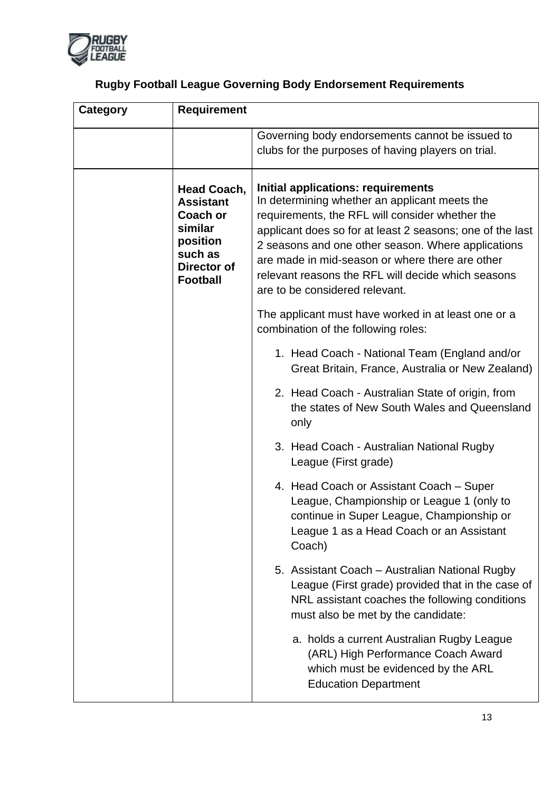

| <b>Rugby Football League Governing Body Endorsement Requirements</b> |  |
|----------------------------------------------------------------------|--|

| <b>Category</b> | <b>Requirement</b>                                                                                                            |                                                                                                                                                                                                                                                                                                                                                                                                      |
|-----------------|-------------------------------------------------------------------------------------------------------------------------------|------------------------------------------------------------------------------------------------------------------------------------------------------------------------------------------------------------------------------------------------------------------------------------------------------------------------------------------------------------------------------------------------------|
|                 |                                                                                                                               | Governing body endorsements cannot be issued to<br>clubs for the purposes of having players on trial.                                                                                                                                                                                                                                                                                                |
|                 | <b>Head Coach,</b><br><b>Assistant</b><br><b>Coach or</b><br>similar<br>position<br>such as<br>Director of<br><b>Football</b> | Initial applications: requirements<br>In determining whether an applicant meets the<br>requirements, the RFL will consider whether the<br>applicant does so for at least 2 seasons; one of the last<br>2 seasons and one other season. Where applications<br>are made in mid-season or where there are other<br>relevant reasons the RFL will decide which seasons<br>are to be considered relevant. |
|                 |                                                                                                                               | The applicant must have worked in at least one or a<br>combination of the following roles:                                                                                                                                                                                                                                                                                                           |
|                 |                                                                                                                               | 1. Head Coach - National Team (England and/or<br>Great Britain, France, Australia or New Zealand)                                                                                                                                                                                                                                                                                                    |
|                 |                                                                                                                               | 2. Head Coach - Australian State of origin, from<br>the states of New South Wales and Queensland<br>only                                                                                                                                                                                                                                                                                             |
|                 |                                                                                                                               | 3. Head Coach - Australian National Rugby<br>League (First grade)                                                                                                                                                                                                                                                                                                                                    |
|                 |                                                                                                                               | 4. Head Coach or Assistant Coach - Super<br>League, Championship or League 1 (only to<br>continue in Super League, Championship or<br>League 1 as a Head Coach or an Assistant<br>Coach)                                                                                                                                                                                                             |
|                 |                                                                                                                               | 5. Assistant Coach - Australian National Rugby<br>League (First grade) provided that in the case of<br>NRL assistant coaches the following conditions<br>must also be met by the candidate:                                                                                                                                                                                                          |
|                 |                                                                                                                               | a. holds a current Australian Rugby League<br>(ARL) High Performance Coach Award<br>which must be evidenced by the ARL<br><b>Education Department</b>                                                                                                                                                                                                                                                |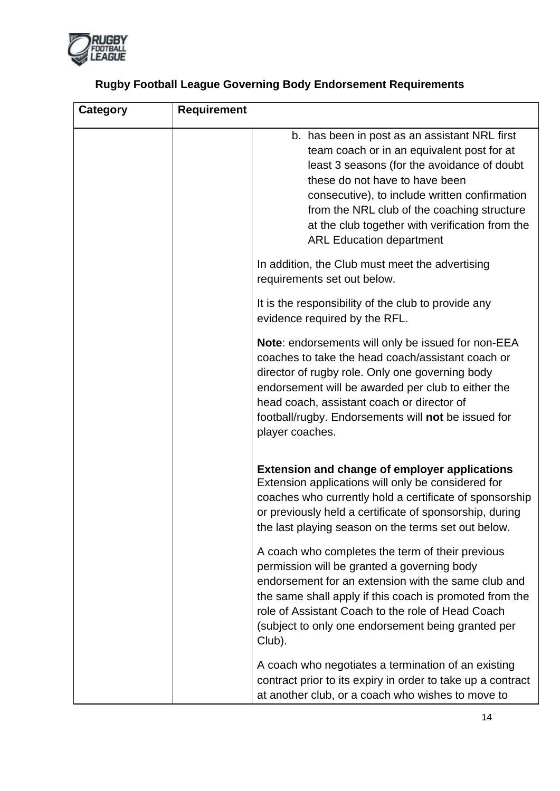

| <b>Category</b> | <b>Requirement</b>                                                                                                                                                                                                                                                                                                                                                 |
|-----------------|--------------------------------------------------------------------------------------------------------------------------------------------------------------------------------------------------------------------------------------------------------------------------------------------------------------------------------------------------------------------|
|                 | b. has been in post as an assistant NRL first<br>team coach or in an equivalent post for at<br>least 3 seasons (for the avoidance of doubt<br>these do not have to have been<br>consecutive), to include written confirmation<br>from the NRL club of the coaching structure<br>at the club together with verification from the<br><b>ARL Education department</b> |
|                 | In addition, the Club must meet the advertising<br>requirements set out below.                                                                                                                                                                                                                                                                                     |
|                 | It is the responsibility of the club to provide any<br>evidence required by the RFL.                                                                                                                                                                                                                                                                               |
|                 | Note: endorsements will only be issued for non-EEA<br>coaches to take the head coach/assistant coach or<br>director of rugby role. Only one governing body<br>endorsement will be awarded per club to either the<br>head coach, assistant coach or director of<br>football/rugby. Endorsements will not be issued for<br>player coaches.                           |
|                 | <b>Extension and change of employer applications</b><br>Extension applications will only be considered for<br>coaches who currently hold a certificate of sponsorship<br>or previously held a certificate of sponsorship, during<br>the last playing season on the terms set out below.                                                                            |
|                 | A coach who completes the term of their previous<br>permission will be granted a governing body<br>endorsement for an extension with the same club and<br>the same shall apply if this coach is promoted from the<br>role of Assistant Coach to the role of Head Coach<br>(subject to only one endorsement being granted per<br>Club).                             |
|                 | A coach who negotiates a termination of an existing<br>contract prior to its expiry in order to take up a contract<br>at another club, or a coach who wishes to move to                                                                                                                                                                                            |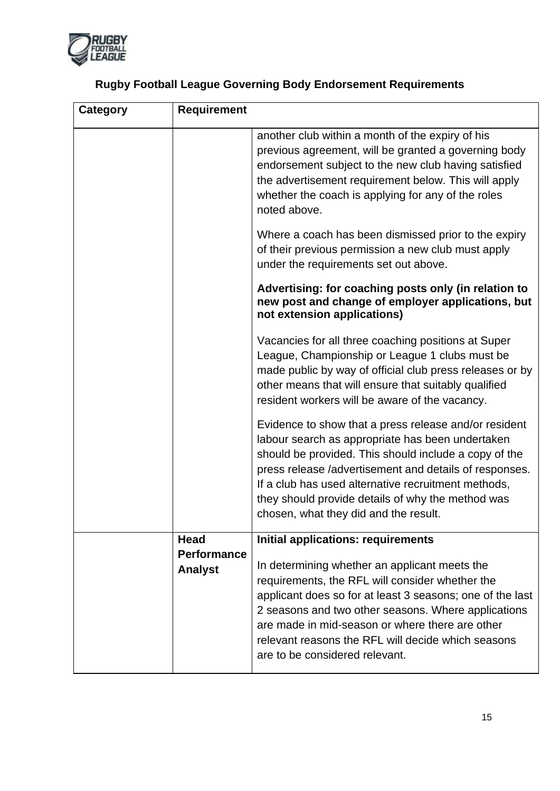

| <b>Category</b> | <b>Requirement</b>                   |                                                                                                                                                                                                                                                                                                                                                                                   |
|-----------------|--------------------------------------|-----------------------------------------------------------------------------------------------------------------------------------------------------------------------------------------------------------------------------------------------------------------------------------------------------------------------------------------------------------------------------------|
|                 |                                      | another club within a month of the expiry of his<br>previous agreement, will be granted a governing body<br>endorsement subject to the new club having satisfied<br>the advertisement requirement below. This will apply<br>whether the coach is applying for any of the roles<br>noted above.                                                                                    |
|                 |                                      | Where a coach has been dismissed prior to the expiry<br>of their previous permission a new club must apply<br>under the requirements set out above.                                                                                                                                                                                                                               |
|                 |                                      | Advertising: for coaching posts only (in relation to<br>new post and change of employer applications, but<br>not extension applications)                                                                                                                                                                                                                                          |
|                 |                                      | Vacancies for all three coaching positions at Super<br>League, Championship or League 1 clubs must be<br>made public by way of official club press releases or by<br>other means that will ensure that suitably qualified<br>resident workers will be aware of the vacancy.                                                                                                       |
|                 |                                      | Evidence to show that a press release and/or resident<br>labour search as appropriate has been undertaken<br>should be provided. This should include a copy of the<br>press release /advertisement and details of responses.<br>If a club has used alternative recruitment methods,<br>they should provide details of why the method was<br>chosen, what they did and the result. |
|                 | Head                                 | <b>Initial applications: requirements</b>                                                                                                                                                                                                                                                                                                                                         |
|                 | <b>Performance</b><br><b>Analyst</b> | In determining whether an applicant meets the<br>requirements, the RFL will consider whether the<br>applicant does so for at least 3 seasons; one of the last<br>2 seasons and two other seasons. Where applications<br>are made in mid-season or where there are other<br>relevant reasons the RFL will decide which seasons<br>are to be considered relevant.                   |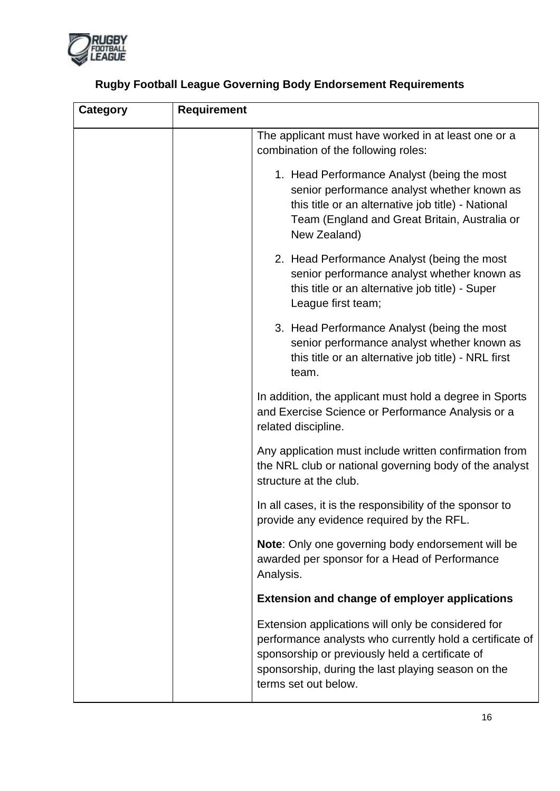

| <b>Category</b> | <b>Requirement</b>                                                                                                                                                                                                                              |
|-----------------|-------------------------------------------------------------------------------------------------------------------------------------------------------------------------------------------------------------------------------------------------|
|                 | The applicant must have worked in at least one or a<br>combination of the following roles:                                                                                                                                                      |
|                 | 1. Head Performance Analyst (being the most<br>senior performance analyst whether known as<br>this title or an alternative job title) - National<br>Team (England and Great Britain, Australia or<br>New Zealand)                               |
|                 | 2. Head Performance Analyst (being the most<br>senior performance analyst whether known as<br>this title or an alternative job title) - Super<br>League first team;                                                                             |
|                 | 3. Head Performance Analyst (being the most<br>senior performance analyst whether known as<br>this title or an alternative job title) - NRL first<br>team.                                                                                      |
|                 | In addition, the applicant must hold a degree in Sports<br>and Exercise Science or Performance Analysis or a<br>related discipline.                                                                                                             |
|                 | Any application must include written confirmation from<br>the NRL club or national governing body of the analyst<br>structure at the club.                                                                                                      |
|                 | In all cases, it is the responsibility of the sponsor to<br>provide any evidence required by the RFL.                                                                                                                                           |
|                 | Note: Only one governing body endorsement will be<br>awarded per sponsor for a Head of Performance<br>Analysis.                                                                                                                                 |
|                 | <b>Extension and change of employer applications</b>                                                                                                                                                                                            |
|                 | Extension applications will only be considered for<br>performance analysts who currently hold a certificate of<br>sponsorship or previously held a certificate of<br>sponsorship, during the last playing season on the<br>terms set out below. |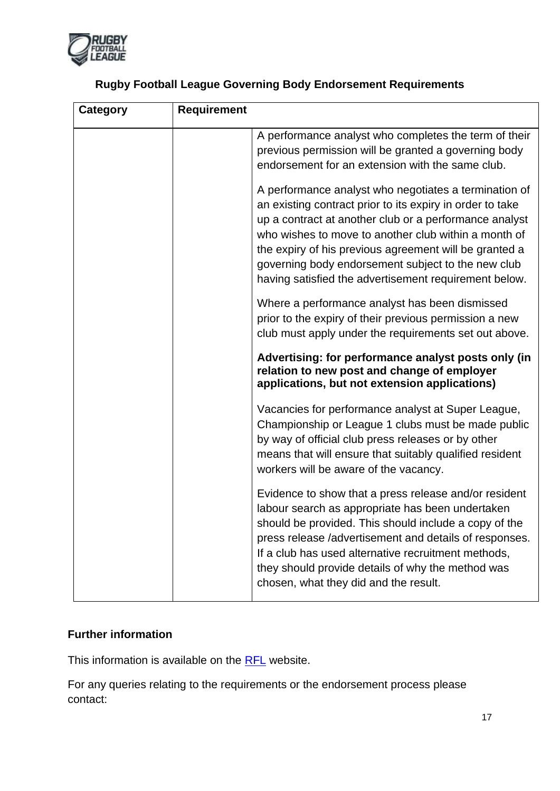

| <b>Category</b> | <b>Requirement</b>                                                                                                                                                                                                                                                                                                                                                                                            |
|-----------------|---------------------------------------------------------------------------------------------------------------------------------------------------------------------------------------------------------------------------------------------------------------------------------------------------------------------------------------------------------------------------------------------------------------|
|                 | A performance analyst who completes the term of their<br>previous permission will be granted a governing body<br>endorsement for an extension with the same club.                                                                                                                                                                                                                                             |
|                 | A performance analyst who negotiates a termination of<br>an existing contract prior to its expiry in order to take<br>up a contract at another club or a performance analyst<br>who wishes to move to another club within a month of<br>the expiry of his previous agreement will be granted a<br>governing body endorsement subject to the new club<br>having satisfied the advertisement requirement below. |
|                 | Where a performance analyst has been dismissed<br>prior to the expiry of their previous permission a new<br>club must apply under the requirements set out above.                                                                                                                                                                                                                                             |
|                 | Advertising: for performance analyst posts only (in<br>relation to new post and change of employer<br>applications, but not extension applications)                                                                                                                                                                                                                                                           |
|                 | Vacancies for performance analyst at Super League,<br>Championship or League 1 clubs must be made public<br>by way of official club press releases or by other<br>means that will ensure that suitably qualified resident<br>workers will be aware of the vacancy.                                                                                                                                            |
|                 | Evidence to show that a press release and/or resident<br>labour search as appropriate has been undertaken<br>should be provided. This should include a copy of the<br>press release /advertisement and details of responses.<br>If a club has used alternative recruitment methods,<br>they should provide details of why the method was<br>chosen, what they did and the result.                             |

### **Further information**

This information is available on the [RFL](http://www.rugby-league.com/the_rfl) website.

For any queries relating to the requirements or the endorsement process please contact: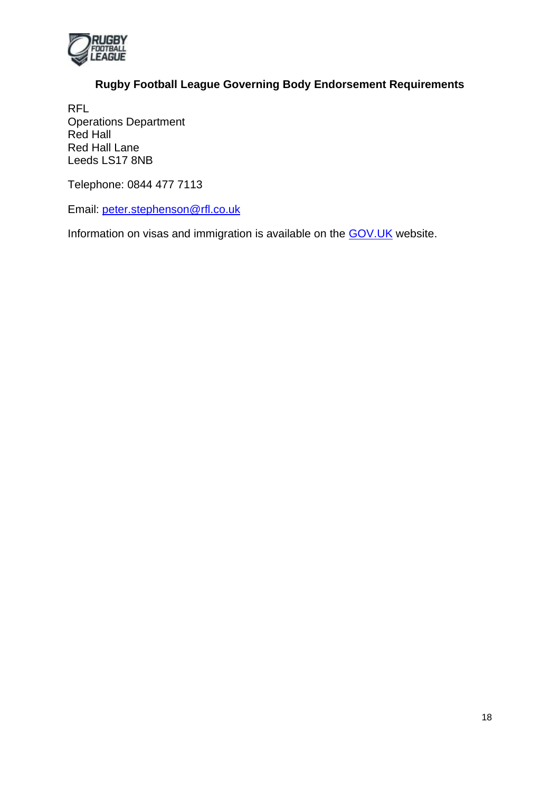

RFL Operations Department Red Hall Red Hall Lane Leeds LS17 8NB

Telephone: 0844 477 7113

Email: [peter.stephenson@rfl.co.uk](mailto:operations@rfl.uk.com)

Information on visas and immigration is available on the [GOV.UK](https://www.gov.uk/browse/visas-immigration/work-visas) website.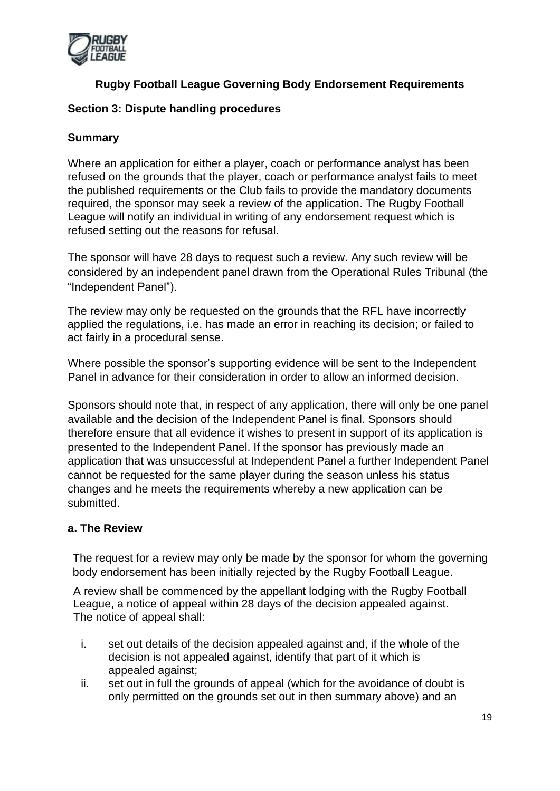

#### **Section 3: Dispute handling procedures**

### **Summary**

Where an application for either a player, coach or performance analyst has been refused on the grounds that the player, coach or performance analyst fails to meet the published requirements or the Club fails to provide the mandatory documents required, the sponsor may seek a review of the application. The Rugby Football League will notify an individual in writing of any endorsement request which is refused setting out the reasons for refusal.

The sponsor will have 28 days to request such a review. Any such review will be considered by an independent panel drawn from the Operational Rules Tribunal (the "Independent Panel").

The review may only be requested on the grounds that the RFL have incorrectly applied the regulations, i.e. has made an error in reaching its decision; or failed to act fairly in a procedural sense.

Where possible the sponsor's supporting evidence will be sent to the Independent Panel in advance for their consideration in order to allow an informed decision.

Sponsors should note that, in respect of any application, there will only be one panel available and the decision of the Independent Panel is final. Sponsors should therefore ensure that all evidence it wishes to present in support of its application is presented to the Independent Panel. If the sponsor has previously made an application that was unsuccessful at Independent Panel a further Independent Panel cannot be requested for the same player during the season unless his status changes and he meets the requirements whereby a new application can be submitted.

#### **a. The Review**

The request for a review may only be made by the sponsor for whom the governing body endorsement has been initially rejected by the Rugby Football League.

A review shall be commenced by the appellant lodging with the Rugby Football League, a notice of appeal within 28 days of the decision appealed against. The notice of appeal shall:

- i. set out details of the decision appealed against and, if the whole of the decision is not appealed against, identify that part of it which is appealed against;
- ii. set out in full the grounds of appeal (which for the avoidance of doubt is only permitted on the grounds set out in then summary above) and an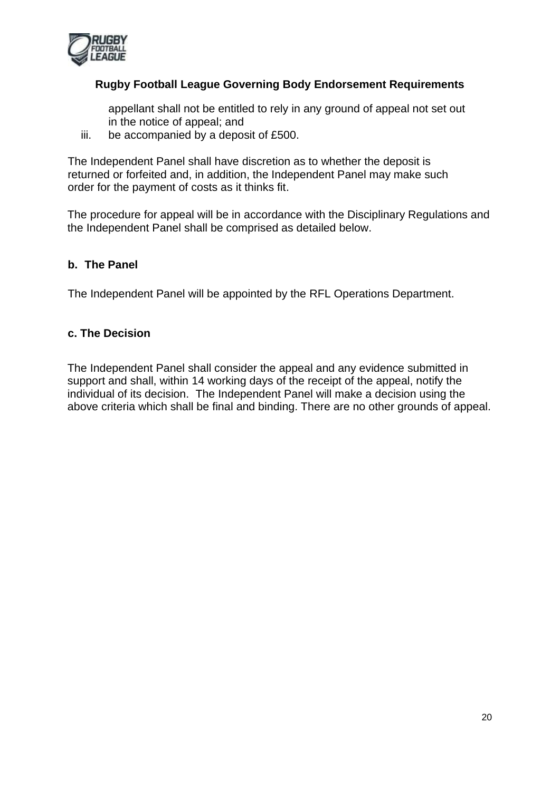

appellant shall not be entitled to rely in any ground of appeal not set out in the notice of appeal; and

iii. be accompanied by a deposit of £500.

The Independent Panel shall have discretion as to whether the deposit is returned or forfeited and, in addition, the Independent Panel may make such order for the payment of costs as it thinks fit.

The procedure for appeal will be in accordance with the Disciplinary Regulations and the Independent Panel shall be comprised as detailed below.

### **b. The Panel**

The Independent Panel will be appointed by the RFL Operations Department.

#### **c. The Decision**

The Independent Panel shall consider the appeal and any evidence submitted in support and shall, within 14 working days of the receipt of the appeal, notify the individual of its decision. The Independent Panel will make a decision using the above criteria which shall be final and binding. There are no other grounds of appeal.